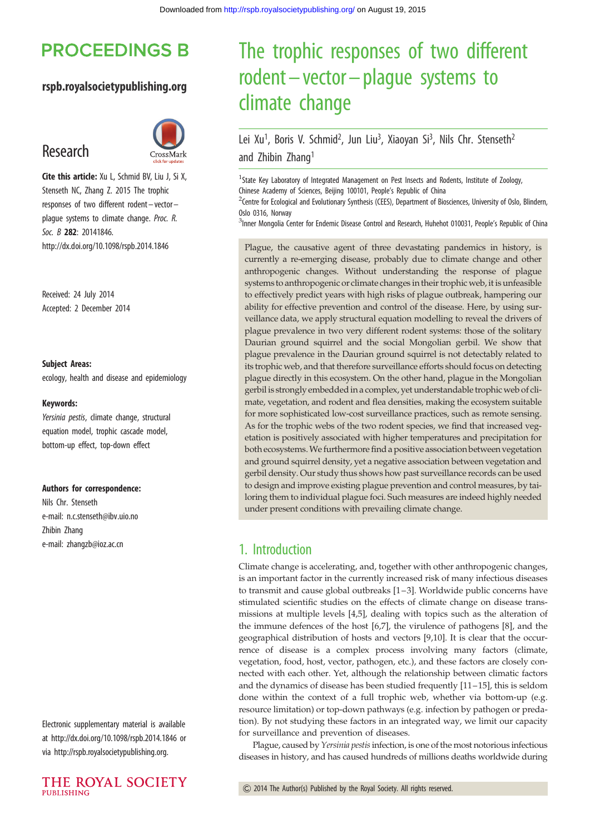# **PROCEEDINGS B**

### rspb.royalsocietypublishing.org

# Research



Cite this article: Xu L, Schmid BV, Liu J, Si X, Stenseth NC, Zhang Z. 2015 The trophic responses of two different rodent – vector – plague systems to climate change. Proc. R. Soc. B 282: 20141846. http://dx.doi.org/10.1098/rspb.2014.1846

Received: 24 July 2014 Accepted: 2 December 2014

#### Subject Areas:

ecology, health and disease and epidemiology

#### Keywords:

Yersinia pestis, climate change, structural equation model, trophic cascade model, bottom-up effect, top-down effect

#### Authors for correspondence:

Nils Chr. Stenseth e-mail: [n.c.stenseth@ibv.uio.no](mailto:n.c.stenseth@ibv.uio.no) Zhibin Zhang e-mail: [zhangzb@ioz.ac.cn](mailto:zhangzb@ioz.ac.cn)

Electronic supplementary material is available at<http://dx.doi.org/10.1098/rspb.2014.1846> or via<http://rspb.royalsocietypublishing.org>.



# The trophic responses of two different rodent– vector– plague systems to climate change

## Lei Xu<sup>1</sup>, Boris V. Schmid<sup>2</sup>, Jun Liu<sup>3</sup>, Xiaoyan Si<sup>3</sup>, Nils Chr. Stenseth<sup>2</sup> and Zhibin Zhang1

<sup>1</sup>State Key Laboratory of Integrated Management on Pest Insects and Rodents, Institute of Zoology, Chinese Academy of Sciences, Beijing 100101, People's Republic of China

 $2$ Centre for Ecological and Evolutionary Synthesis (CEES), Department of Biosciences, University of Oslo, Blindern, Oslo 0316, Norway

<sup>3</sup>Inner Mongolia Center for Endemic Disease Control and Research, Huhehot 010031, People's Republic of China

Plague, the causative agent of three devastating pandemics in history, is currently a re-emerging disease, probably due to climate change and other anthropogenic changes. Without understanding the response of plague systems to anthropogenic or climate changes in their trophic web, it is unfeasible to effectively predict years with high risks of plague outbreak, hampering our ability for effective prevention and control of the disease. Here, by using surveillance data, we apply structural equation modelling to reveal the drivers of plague prevalence in two very different rodent systems: those of the solitary Daurian ground squirrel and the social Mongolian gerbil. We show that plague prevalence in the Daurian ground squirrel is not detectably related to its trophic web, and that therefore surveillance efforts should focus on detecting plague directly in this ecosystem. On the other hand, plague in the Mongolian gerbil is strongly embedded in a complex, yet understandable trophic web of climate, vegetation, and rodent and flea densities, making the ecosystem suitable for more sophisticated low-cost surveillance practices, such as remote sensing. As for the trophic webs of the two rodent species, we find that increased vegetation is positively associated with higher temperatures and precipitation for both ecosystems.We furthermore find a positive association between vegetation and ground squirrel density, yet a negative association between vegetation and gerbil density. Our study thus shows how past surveillance records can be used to design and improve existing plague prevention and control measures, by tailoring them to individual plague foci. Such measures are indeed highly needed under present conditions with prevailing climate change.

## 1. Introduction

Climate change is accelerating, and, together with other anthropogenic changes, is an important factor in the currently increased risk of many infectious diseases to transmit and cause global outbreaks [[1](#page-6-0) –[3](#page-6-0)]. Worldwide public concerns have stimulated scientific studies on the effects of climate change on disease transmissions at multiple levels [\[4](#page-6-0)[,5\]](#page-7-0), dealing with topics such as the alteration of the immune defences of the host [\[6,7](#page-7-0)], the virulence of pathogens [[8](#page-7-0)], and the geographical distribution of hosts and vectors [\[9,10](#page-7-0)]. It is clear that the occurrence of disease is a complex process involving many factors (climate, vegetation, food, host, vector, pathogen, etc.), and these factors are closely connected with each other. Yet, although the relationship between climatic factors and the dynamics of disease has been studied frequently [\[11](#page-7-0)–[15\]](#page-7-0), this is seldom done within the context of a full trophic web, whether via bottom-up (e.g. resource limitation) or top-down pathways (e.g. infection by pathogen or predation). By not studying these factors in an integrated way, we limit our capacity for surveillance and prevention of diseases.

Plague, caused by Yersinia pestis infection, is one of the most notorious infectious diseases in history, and has caused hundreds of millions deaths worldwide during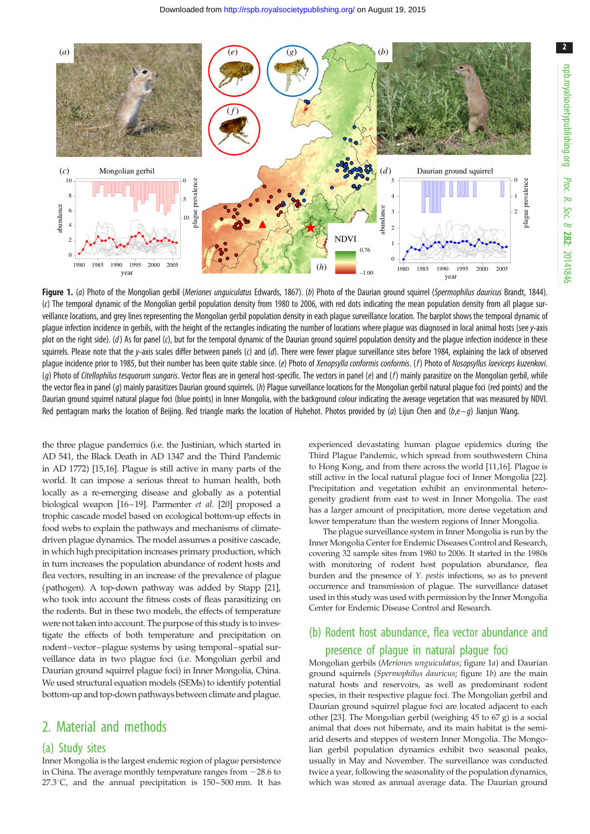<span id="page-1-0"></span>

Figure 1. (a) Photo of the Mongolian gerbil (Meriones unquiculatus Edwards, 1867). (b) Photo of the Daurian ground squirrel (Spermophilus dauricus Brandt, 1844). (c) The temporal dynamic of the Mongolian gerbil population density from 1980 to 2006, with red dots indicating the mean population density from all plague surveillance locations, and grey lines representing the Mongolian gerbil population density in each plague surveillance location. The barplot shows the temporal dynamic of plague infection incidence in gerbils, with the height of the rectangles indicating the number of locations where plague was diagnosed in local animal hosts (see y-axis plot on the right side). (d) As for panel (c), but for the temporal dynamic of the Daurian ground squirrel population density and the plague infection incidence in these squirrels. Please note that the y-axis scales differ between panels (c) and (d). There were fewer plague surveillance sites before 1984, explaining the lack of observed plague incidence prior to 1985, but their number has been quite stable since. (e) Photo of Xenopsylla conformis conformis. (f) Photo of Nosopsyllus laeviceps kuzenkovi. (q) Photo of Citellophilus tesquorum sungaris. Vector fleas are in general host-specific. The vectors in panel (e) and (f) mainly parasitize on the Mongolian gerbil, while the vector flea in panel (g) mainly parasitizes Daurian ground squirrels. (h) Plague surveillance locations for the Mongolian gerbil natural plague foci (red points) and the Daurian ground squirrel natural plague foci (blue points) in Inner Mongolia, with the background colour indicating the average vegetation that was measured by NDVI. Red pentagram marks the location of Beijing. Red triangle marks the location of Huhehot. Photos provided by (a) Lijun Chen and (b,e–g) Jianjun Wang.

the three plague pandemics (i.e. the Justinian, which started in AD 541, the Black Death in AD 1347 and the Third Pandemic in AD 1772) [[15](#page-7-0),[16](#page-7-0)]. Plague is still active in many parts of the world. It can impose a serious threat to human health, both locally as a re-emerging disease and globally as a potential biological weapon [\[16](#page-7-0)–[19\]](#page-7-0). Parmenter et al. [\[20\]](#page-7-0) proposed a trophic cascade model based on ecological bottom-up effects in food webs to explain the pathways and mechanisms of climatedriven plague dynamics. The model assumes a positive cascade, in which high precipitation increases primary production, which in turn increases the population abundance of rodent hosts and flea vectors, resulting in an increase of the prevalence of plague (pathogen). A top-down pathway was added by Stapp [[21](#page-7-0)], who took into account the fitness costs of fleas parasitizing on the rodents. But in these two models, the effects of temperature were not taken into account. The purpose of this study is to investigate the effects of both temperature and precipitation on rodent–vector–plague systems by using temporal–spatial surveillance data in two plague foci (i.e. Mongolian gerbil and Daurian ground squirrel plague foci) in Inner Mongolia, China. We used structural equation models (SEMs) to identify potential bottom-up and top-down pathways between climate and plague.

## 2. Material and methods

#### (a) Study sites

Inner Mongolia is the largest endemic region of plague persistence in China. The average monthly temperature ranges from  $-28.6$  to 27.3 $^{\circ}$ C, and the annual precipitation is 150–500 mm. It has experienced devastating human plague epidemics during the Third Plague Pandemic, which spread from southwestern China to Hong Kong, and from there across the world [\[11,16](#page-7-0)]. Plague is still active in the local natural plague foci of Inner Mongolia [\[22\]](#page-7-0). Precipitation and vegetation exhibit an environmental heterogeneity gradient from east to west in Inner Mongolia. The east has a larger amount of precipitation, more dense vegetation and lower temperature than the western regions of Inner Mongolia.

The plague surveillance system in Inner Mongolia is run by the Inner Mongolia Center for Endemic Diseases Control and Research, covering 32 sample sites from 1980 to 2006. It started in the 1980s with monitoring of rodent host population abundance, flea burden and the presence of Y. pestis infections, so as to prevent occurrence and transmission of plague. The surveillance dataset used in this study was used with permission by the Inner Mongolia Center for Endemic Disease Control and Research.

## (b) Rodent host abundance, flea vector abundance and presence of plague in natural plague foci

Mongolian gerbils (Meriones unguiculatus; figure 1a) and Daurian ground squirrels (Spermophilus dauricus; figure 1b) are the main natural hosts and reservoirs, as well as predominant rodent species, in their respective plague foci. The Mongolian gerbil and Daurian ground squirrel plague foci are located adjacent to each other [\[23\]](#page-7-0). The Mongolian gerbil (weighing 45 to 67 g) is a social animal that does not hibernate, and its main habitat is the semiarid deserts and steppes of western Inner Mongolia. The Mongolian gerbil population dynamics exhibit two seasonal peaks, usually in May and November. The surveillance was conducted twice a year, following the seasonality of the population dynamics, which was stored as annual average data. The Daurian ground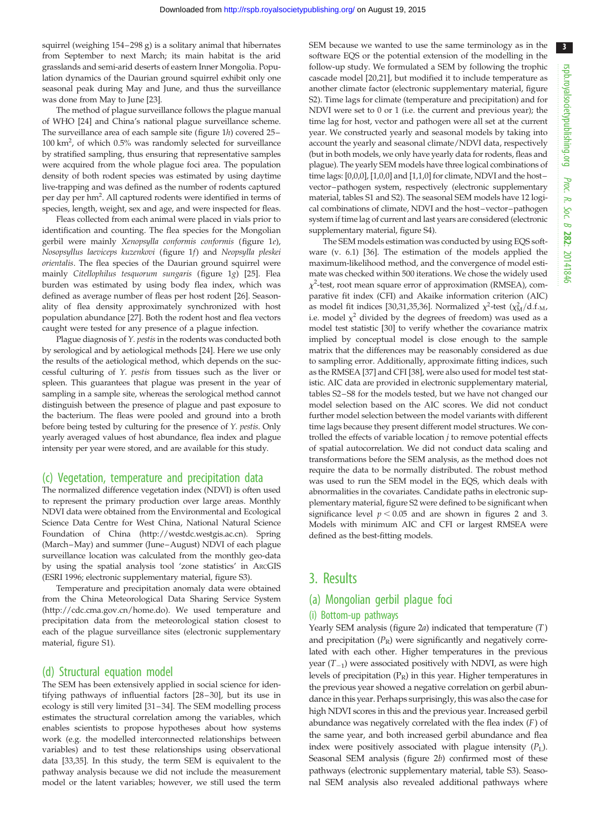squirrel (weighing  $154-298$  g) is a solitary animal that hibernates from September to next March; its main habitat is the arid grasslands and semi-arid deserts of eastern Inner Mongolia. Population dynamics of the Daurian ground squirrel exhibit only one seasonal peak during May and June, and thus the surveillance was done from May to June [[23](#page-7-0)].

The method of plague surveillance follows the plague manual of WHO [\[24\]](#page-7-0) and China's national plague surveillance scheme. The surveillance area of each sample site [\(figure 1](#page-1-0)h) covered 25–  $100 \text{ km}^2$ , of which  $0.5\%$  was randomly selected for surveillance by stratified sampling, thus ensuring that representative samples were acquired from the whole plague foci area. The population density of both rodent species was estimated by using daytime live-trapping and was defined as the number of rodents captured per day per hm<sup>2</sup>. All captured rodents were identified in terms of species, length, weight, sex and age, and were inspected for fleas.

Fleas collected from each animal were placed in vials prior to identification and counting. The flea species for the Mongolian gerbil were mainly Xenopsylla conformis conformis ([figure 1](#page-1-0)e), Nosopsyllus laeviceps kuzenkovi ([figure 1](#page-1-0)f) and Neopsylla pleskei orientalis. The flea species of the Daurian ground squirrel were mainly Citellophilus tesquorum sungaris ([figure 1](#page-1-0)g) [\[25\]](#page-7-0). Flea burden was estimated by using body flea index, which was defined as average number of fleas per host rodent [\[26\]](#page-7-0). Seasonality of flea density approximately synchronized with host population abundance [\[27\]](#page-7-0). Both the rodent host and flea vectors caught were tested for any presence of a plague infection.

Plague diagnosis of Y. pestis in the rodents was conducted both by serological and by aetiological methods [[24](#page-7-0)]. Here we use only the results of the aetiological method, which depends on the successful culturing of Y. pestis from tissues such as the liver or spleen. This guarantees that plague was present in the year of sampling in a sample site, whereas the serological method cannot distinguish between the presence of plague and past exposure to the bacterium. The fleas were pooled and ground into a broth before being tested by culturing for the presence of Y. pestis. Only yearly averaged values of host abundance, flea index and plague intensity per year were stored, and are available for this study.

#### (c) Vegetation, temperature and precipitation data

The normalized difference vegetation index (NDVI) is often used to represent the primary production over large areas. Monthly NDVI data were obtained from the Environmental and Ecological Science Data Centre for West China, National Natural Science Foundation of China [\(http://westdc.westgis.ac.cn](http://westdc.westgis.ac.cn)). Spring (March–May) and summer (June–August) NDVI of each plague surveillance location was calculated from the monthly geo-data by using the spatial analysis tool 'zone statistics' in ARCGIS (ESRI 1996; electronic supplementary material, figure S3).

Temperature and precipitation anomaly data were obtained from the China Meteorological Data Sharing Service System [\(http://cdc.cma.gov.cn/home.do\)](http://cdc.cma.gov.cn/home.do). We used temperature and precipitation data from the meteorological station closest to each of the plague surveillance sites (electronic supplementary material, figure S1).

#### (d) Structural equation model

The SEM has been extensively applied in social science for identifying pathways of influential factors [\[28](#page-7-0)– [30](#page-7-0)], but its use in ecology is still very limited [[31](#page-7-0) – [34\]](#page-7-0). The SEM modelling process estimates the structural correlation among the variables, which enables scientists to propose hypotheses about how systems work (e.g. the modelled interconnected relationships between variables) and to test these relationships using observational data [\[33,35\]](#page-7-0). In this study, the term SEM is equivalent to the pathway analysis because we did not include the measurement model or the latent variables; however, we still used the term

SEM because we wanted to use the same terminology as in the software EQS or the potential extension of the modelling in the follow-up study. We formulated a SEM by following the trophic cascade model [[20,21\]](#page-7-0), but modified it to include temperature as another climate factor (electronic supplementary material, figure S2). Time lags for climate (temperature and precipitation) and for NDVI were set to 0 or 1 (i.e. the current and previous year); the time lag for host, vector and pathogen were all set at the current year. We constructed yearly and seasonal models by taking into account the yearly and seasonal climate/NDVI data, respectively (but in both models, we only have yearly data for rodents, fleas and plague). The yearly SEM models have three logical combinations of time lags: [0,0,0], [1,0,0] and [1,1,0] for climate, NDVI and the host– vector–pathogen system, respectively (electronic supplementary material, tables S1 and S2). The seasonal SEM models have 12 logical combinations of climate, NDVI and the host–vector–pathogen system if time lag of current and last years are considered (electronic supplementary material, figure S4).

The SEM models estimation was conducted by using EQS software (v. 6.1) [\[36\]](#page-7-0). The estimation of the models applied the maximum-likelihood method, and the convergence of model estimate was checked within 500 iterations. We chose the widely used  $\chi^2$ -test, root mean square error of approximation (RMSEA), comparative fit index (CFI) and Akaike information criterion (AIC) as model fit indices [[30,31,35,36\]](#page-7-0). Normalized  $\chi^2$ -test  $(\chi^2_M/d.f_{\rm M})$ i.e. model  $\chi^2$  divided by the degrees of freedom) was used as a model test statistic [[30](#page-7-0)] to verify whether the covariance matrix implied by conceptual model is close enough to the sample matrix that the differences may be reasonably considered as due to sampling error. Additionally, approximate fitting indices, such as the RMSEA [\[37\]](#page-7-0) and CFI [\[38\]](#page-7-0), were also used for model test statistic. AIC data are provided in electronic supplementary material, tables S2–S8 for the models tested, but we have not changed our model selection based on the AIC scores. We did not conduct further model selection between the model variants with different time lags because they present different model structures. We controlled the effects of variable location  $j$  to remove potential effects of spatial autocorrelation. We did not conduct data scaling and transformations before the SEM analysis, as the method does not require the data to be normally distributed. The robust method was used to run the SEM model in the EQS, which deals with abnormalities in the covariates. Candidate paths in electronic supplementary material, figure S2 were defined to be significant when significance level  $p < 0.05$  and are shown in figures [2](#page-3-0) and [3.](#page-4-0) Models with minimum AIC and CFI or largest RMSEA were defined as the best-fitting models.

## 3. Results

## (a) Mongolian gerbil plague foci

#### (i) Bottom-up pathways

Yearly SEM analysis (figure  $2a$ ) indicated that temperature  $(T)$ and precipitation  $(P_R)$  were significantly and negatively correlated with each other. Higher temperatures in the previous year  $(T_{-1})$  were associated positively with NDVI, as were high levels of precipitation (PR) in this year. Higher temperatures in the previous year showed a negative correlation on gerbil abundance in this year. Perhaps surprisingly, this was also the case for high NDVI scores in this and the previous year. Increased gerbil abundance was negatively correlated with the flea index  $(F)$  of the same year, and both increased gerbil abundance and flea index were positively associated with plague intensity  $(P_L)$ . Seasonal SEM analysis [\(figure 2](#page-3-0)b) confirmed most of these pathways (electronic supplementary material, table S3). Seasonal SEM analysis also revealed additional pathways where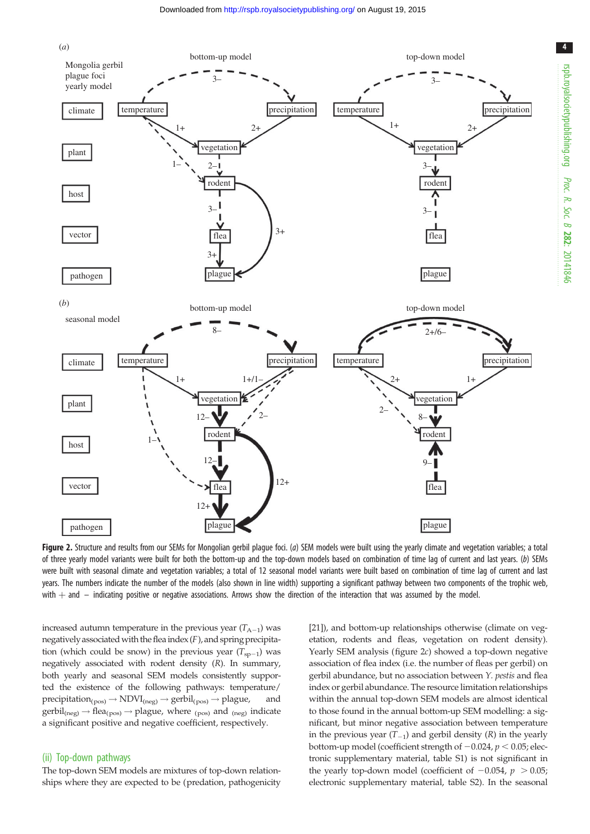<span id="page-3-0"></span>

Figure 2. Structure and results from our SEMs for Mongolian gerbil plague foci. (a) SEM models were built using the yearly climate and vegetation variables; a total of three yearly model variants were built for both the bottom-up and the top-down models based on combination of time lag of current and last years. (b) SEMs were built with seasonal climate and vegetation variables; a total of 12 seasonal model variants were built based on combination of time lag of current and last years. The numbers indicate the number of the models (also shown in line width) supporting a significant pathway between two components of the trophic web, with  $+$  and  $-$  indicating positive or negative associations. Arrows show the direction of the interaction that was assumed by the model.

increased autumn temperature in the previous year  $(T_{A-1})$  was negatively associated with the flea index  $(F)$ , and spring precipitation (which could be snow) in the previous year  $(T_{sp-1})$  was negatively associated with rodent density  $(R)$ . In summary, both yearly and seasonal SEM models consistently supported the existence of the following pathways: temperature/  $\text{precription}_{\text{(pos)}} \rightarrow \text{NDVI}_{\text{(neg)}} \rightarrow \text{gerbil}_{\text{(pos)}} \rightarrow \text{player},$  and  $gerbil_{(neg)} \rightarrow flea_{(pos)} \rightarrow plague,$  where  $_{(pos)}$  and  $_{(neg)}$  indicate a significant positive and negative coefficient, respectively.

#### (ii) Top-down pathways

The top-down SEM models are mixtures of top-down relationships where they are expected to be (predation, pathogenicity [[21](#page-7-0)]), and bottom-up relationships otherwise (climate on vegetation, rodents and fleas, vegetation on rodent density). Yearly SEM analysis (figure 2c) showed a top-down negative association of flea index (i.e. the number of fleas per gerbil) on gerbil abundance, but no association between Y. pestis and flea index or gerbil abundance. The resource limitation relationships within the annual top-down SEM models are almost identical to those found in the annual bottom-up SEM modelling: a significant, but minor negative association between temperature in the previous year  $(T_{-1})$  and gerbil density  $(R)$  in the yearly bottom-up model (coefficient strength of  $-0.024$ ,  $p < 0.05$ ; electronic supplementary material, table S1) is not significant in the yearly top-down model (coefficient of  $-0.054$ ,  $p > 0.05$ ; electronic supplementary material, table S2). In the seasonal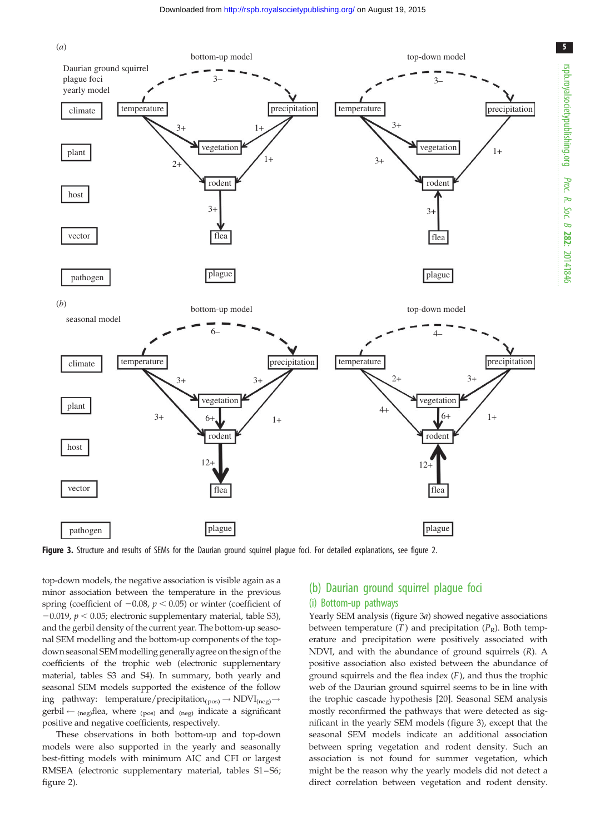<span id="page-4-0"></span>

Figure 3. Structure and results of SEMs for the Daurian ground squirrel plague foci. For detailed explanations, see [figure 2](#page-3-0).

top-down models, the negative association is visible again as a minor association between the temperature in the previous spring (coefficient of  $-0.08$ ,  $p < 0.05$ ) or winter (coefficient of  $-0.019$ ,  $p < 0.05$ ; electronic supplementary material, table S3), and the gerbil density of the current year. The bottom-up seasonal SEM modelling and the bottom-up components of the topdown seasonal SEM modelling generally agree on the sign of the coefficients of the trophic web (electronic supplementary material, tables S3 and S4). In summary, both yearly and seasonal SEM models supported the existence of the follow ing pathway: temperature/precipitation( $_{\text{pos}}$ )  $\rightarrow$  NDVI<sub>(neg)</sub> $\rightarrow$ gerbil  $\leftarrow$  (neg)flea, where (pos) and (neg) indicate a significant positive and negative coefficients, respectively.

These observations in both bottom-up and top-down models were also supported in the yearly and seasonally best-fitting models with minimum AIC and CFI or largest RMSEA (electronic supplementary material, tables S1 –S6; [figure 2](#page-3-0)).

#### (b) Daurian ground squirrel plague foci

#### (i) Bottom-up pathways

Yearly SEM analysis (figure 3*a*) showed negative associations between temperature  $(T)$  and precipitation  $(P_R)$ . Both temperature and precipitation were positively associated with NDVI, and with the abundance of ground squirrels (R). A positive association also existed between the abundance of ground squirrels and the flea index  $(F)$ , and thus the trophic web of the Daurian ground squirrel seems to be in line with the trophic cascade hypothesis [\[20](#page-7-0)]. Seasonal SEM analysis mostly reconfirmed the pathways that were detected as significant in the yearly SEM models (figure 3), except that the seasonal SEM models indicate an additional association between spring vegetation and rodent density. Such an association is not found for summer vegetation, which might be the reason why the yearly models did not detect a direct correlation between vegetation and rodent density.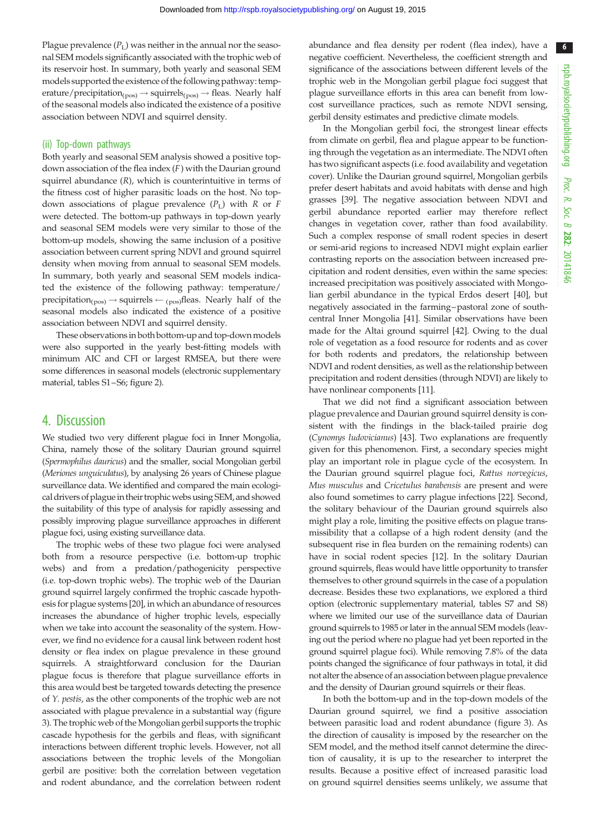rspb.royalsocietypublishing.org Proc. R. Soc. $\sigma$ 282: 20141846 6

Plague prevalence  $(P_L)$  was neither in the annual nor the seasonal SEM models significantly associated with the trophic web of its reservoir host. In summary, both yearly and seasonal SEM models supported the existence of the following pathway: temperature/precipitation<sub>(pos)</sub>  $\rightarrow$  squirrels<sub>(pos)</sub>  $\rightarrow$  fleas. Nearly half of the seasonal models also indicated the existence of a positive association between NDVI and squirrel density.

#### (ii) Top-down pathways

Both yearly and seasonal SEM analysis showed a positive topdown association of the flea index  $(F)$  with the Daurian ground squirrel abundance  $(R)$ , which is counterintuitive in terms of the fitness cost of higher parasitic loads on the host. No topdown associations of plague prevalence  $(P_L)$  with R or F were detected. The bottom-up pathways in top-down yearly and seasonal SEM models were very similar to those of the bottom-up models, showing the same inclusion of a positive association between current spring NDVI and ground squirrel density when moving from annual to seasonal SEM models. In summary, both yearly and seasonal SEM models indicated the existence of the following pathway: temperature/ precipitation<sub>(pos)</sub>  $\rightarrow$  squirrels  $\leftarrow$  <sub>(pos)</sub>fleas. Nearly half of the seasonal models also indicated the existence of a positive association between NDVI and squirrel density.

These observations in both bottom-up and top-down models were also supported in the yearly best-fitting models with minimum AIC and CFI or largest RMSEA, but there were some differences in seasonal models (electronic supplementary material, tables S1–S6; [figure 2](#page-3-0)).

### 4. Discussion

We studied two very different plague foci in Inner Mongolia, China, namely those of the solitary Daurian ground squirrel (Spermophilus dauricus) and the smaller, social Mongolian gerbil (Meriones unguiculatus), by analysing 26 years of Chinese plague surveillance data. We identified and compared the main ecological drivers of plague in their trophic webs using SEM, and showed the suitability of this type of analysis for rapidly assessing and possibly improving plague surveillance approaches in different plague foci, using existing surveillance data.

The trophic webs of these two plague foci were analysed both from a resource perspective (i.e. bottom-up trophic webs) and from a predation/pathogenicity perspective (i.e. top-down trophic webs). The trophic web of the Daurian ground squirrel largely confirmed the trophic cascade hypothesis for plague systems [\[20\]](#page-7-0), in which an abundance of resources increases the abundance of higher trophic levels, especially when we take into account the seasonality of the system. However, we find no evidence for a causal link between rodent host density or flea index on plague prevalence in these ground squirrels. A straightforward conclusion for the Daurian plague focus is therefore that plague surveillance efforts in this area would best be targeted towards detecting the presence of Y. pestis, as the other components of the trophic web are not associated with plague prevalence in a substantial way [\(figure](#page-4-0) [3](#page-4-0)). The trophic web of the Mongolian gerbil supports the trophic cascade hypothesis for the gerbils and fleas, with significant interactions between different trophic levels. However, not all associations between the trophic levels of the Mongolian gerbil are positive: both the correlation between vegetation and rodent abundance, and the correlation between rodent

abundance and flea density per rodent (flea index), have a negative coefficient. Nevertheless, the coefficient strength and significance of the associations between different levels of the trophic web in the Mongolian gerbil plague foci suggest that plague surveillance efforts in this area can benefit from lowcost surveillance practices, such as remote NDVI sensing, gerbil density estimates and predictive climate models.

In the Mongolian gerbil foci, the strongest linear effects from climate on gerbil, flea and plague appear to be functioning through the vegetation as an intermediate. The NDVI often has two significant aspects (i.e. food availability and vegetation cover). Unlike the Daurian ground squirrel, Mongolian gerbils prefer desert habitats and avoid habitats with dense and high grasses [[39](#page-7-0)]. The negative association between NDVI and gerbil abundance reported earlier may therefore reflect changes in vegetation cover, rather than food availability. Such a complex response of small rodent species in desert or semi-arid regions to increased NDVI might explain earlier contrasting reports on the association between increased precipitation and rodent densities, even within the same species: increased precipitation was positively associated with Mongolian gerbil abundance in the typical Erdos desert [\[40](#page-7-0)], but negatively associated in the farming–pastoral zone of southcentral Inner Mongolia [\[41](#page-7-0)]. Similar observations have been made for the Altai ground squirrel [[42](#page-7-0)]. Owing to the dual role of vegetation as a food resource for rodents and as cover for both rodents and predators, the relationship between NDVI and rodent densities, as well as the relationship between precipitation and rodent densities (through NDVI) are likely to have nonlinear components [\[11](#page-7-0)].

That we did not find a significant association between plague prevalence and Daurian ground squirrel density is consistent with the findings in the black-tailed prairie dog (Cynomys ludovicianus) [\[43](#page-7-0)]. Two explanations are frequently given for this phenomenon. First, a secondary species might play an important role in plague cycle of the ecosystem. In the Daurian ground squirrel plague foci, Rattus norvegicus, Mus musculus and Cricetulus barabensis are present and were also found sometimes to carry plague infections [[22\]](#page-7-0). Second, the solitary behaviour of the Daurian ground squirrels also might play a role, limiting the positive effects on plague transmissibility that a collapse of a high rodent density (and the subsequent rise in flea burden on the remaining rodents) can have in social rodent species [\[12\]](#page-7-0). In the solitary Daurian ground squirrels, fleas would have little opportunity to transfer themselves to other ground squirrels in the case of a population decrease. Besides these two explanations, we explored a third option (electronic supplementary material, tables S7 and S8) where we limited our use of the surveillance data of Daurian ground squirrels to 1985 or later in the annual SEM models (leaving out the period where no plague had yet been reported in the ground squirrel plague foci). While removing 7.8% of the data points changed the significance of four pathways in total, it did not alter the absence of an association between plague prevalence and the density of Daurian ground squirrels or their fleas.

In both the bottom-up and in the top-down models of the Daurian ground squirrel, we find a positive association between parasitic load and rodent abundance ([figure 3](#page-4-0)). As the direction of causality is imposed by the researcher on the SEM model, and the method itself cannot determine the direction of causality, it is up to the researcher to interpret the results. Because a positive effect of increased parasitic load on ground squirrel densities seems unlikely, we assume that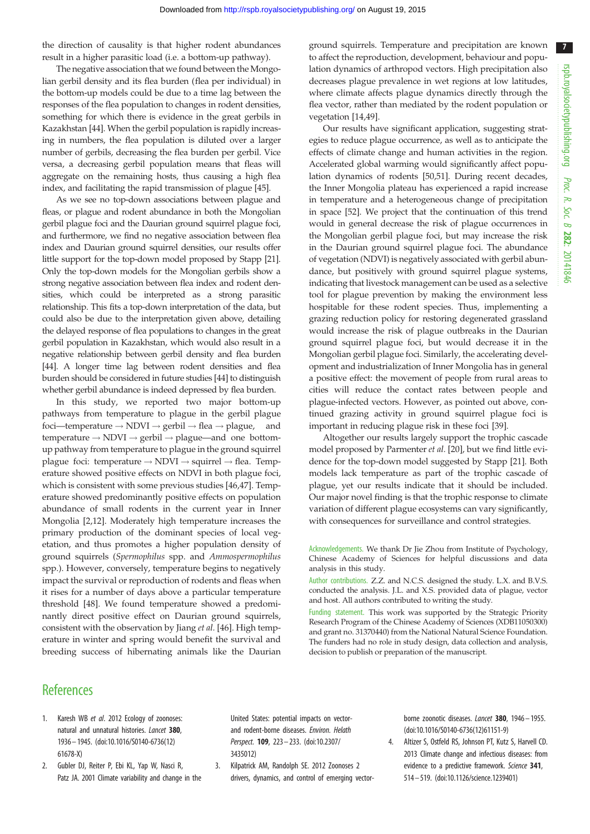7

<span id="page-6-0"></span>the direction of causality is that higher rodent abundances result in a higher parasitic load (i.e. a bottom-up pathway).

The negative association that we found between the Mongolian gerbil density and its flea burden (flea per individual) in the bottom-up models could be due to a time lag between the responses of the flea population to changes in rodent densities, something for which there is evidence in the great gerbils in Kazakhstan [[44](#page-7-0)]. When the gerbil population is rapidly increasing in numbers, the flea population is diluted over a larger number of gerbils, decreasing the flea burden per gerbil. Vice versa, a decreasing gerbil population means that fleas will aggregate on the remaining hosts, thus causing a high flea index, and facilitating the rapid transmission of plague [[45](#page-7-0)].

As we see no top-down associations between plague and fleas, or plague and rodent abundance in both the Mongolian gerbil plague foci and the Daurian ground squirrel plague foci, and furthermore, we find no negative association between flea index and Daurian ground squirrel densities, our results offer little support for the top-down model proposed by Stapp [[21](#page-7-0)]. Only the top-down models for the Mongolian gerbils show a strong negative association between flea index and rodent densities, which could be interpreted as a strong parasitic relationship. This fits a top-down interpretation of the data, but could also be due to the interpretation given above, detailing the delayed response of flea populations to changes in the great gerbil population in Kazakhstan, which would also result in a negative relationship between gerbil density and flea burden [\[44\]](#page-7-0). A longer time lag between rodent densities and flea burden should be considered in future studies [[44](#page-7-0)] to distinguish whether gerbil abundance is indeed depressed by flea burden.

In this study, we reported two major bottom-up pathways from temperature to plague in the gerbil plague foci—temperature  $\rightarrow$  NDVI  $\rightarrow$  gerbil  $\rightarrow$  flea  $\rightarrow$  plague, and temperature  $\rightarrow$  NDVI  $\rightarrow$  gerbil  $\rightarrow$  plague—and one bottomup pathway from temperature to plague in the ground squirrel plague foci: temperature  $\rightarrow$  NDVI  $\rightarrow$  squirrel  $\rightarrow$  flea. Temperature showed positive effects on NDVI in both plague foci, which is consistent with some previous studies [[46,47\]](#page-7-0). Temperature showed predominantly positive effects on population abundance of small rodents in the current year in Inner Mongolia [2,[12\]](#page-7-0). Moderately high temperature increases the primary production of the dominant species of local vegetation, and thus promotes a higher population density of ground squirrels (Spermophilus spp. and Ammospermophilus spp.). However, conversely, temperature begins to negatively impact the survival or reproduction of rodents and fleas when it rises for a number of days above a particular temperature threshold [\[48](#page-7-0)]. We found temperature showed a predominantly direct positive effect on Daurian ground squirrels, consistent with the observation by Jiang et al. [\[46](#page-7-0)]. High temperature in winter and spring would benefit the survival and breeding success of hibernating animals like the Daurian

ground squirrels. Temperature and precipitation are known to affect the reproduction, development, behaviour and population dynamics of arthropod vectors. High precipitation also decreases plague prevalence in wet regions at low latitudes, where climate affects plague dynamics directly through the flea vector, rather than mediated by the rodent population or vegetation [\[14,49](#page-7-0)].

Our results have significant application, suggesting strategies to reduce plague occurrence, as well as to anticipate the effects of climate change and human activities in the region. Accelerated global warming would significantly affect population dynamics of rodents [\[50,51](#page-7-0)]. During recent decades, the Inner Mongolia plateau has experienced a rapid increase in temperature and a heterogeneous change of precipitation in space [\[52](#page-7-0)]. We project that the continuation of this trend would in general decrease the risk of plague occurrences in the Mongolian gerbil plague foci, but may increase the risk in the Daurian ground squirrel plague foci. The abundance of vegetation (NDVI) is negatively associated with gerbil abundance, but positively with ground squirrel plague systems, indicating that livestock management can be used as a selective tool for plague prevention by making the environment less hospitable for these rodent species. Thus, implementing a grazing reduction policy for restoring degenerated grassland would increase the risk of plague outbreaks in the Daurian ground squirrel plague foci, but would decrease it in the Mongolian gerbil plague foci. Similarly, the accelerating development and industrialization of Inner Mongolia has in general a positive effect: the movement of people from rural areas to cities will reduce the contact rates between people and plague-infected vectors. However, as pointed out above, continued grazing activity in ground squirrel plague foci is important in reducing plague risk in these foci [\[39](#page-7-0)].

Altogether our results largely support the trophic cascade model proposed by Parmenter et al. [[20\]](#page-7-0), but we find little evidence for the top-down model suggested by Stapp [[21\]](#page-7-0). Both models lack temperature as part of the trophic cascade of plague, yet our results indicate that it should be included. Our major novel finding is that the trophic response to climate variation of different plague ecosystems can vary significantly, with consequences for surveillance and control strategies.

Acknowledgements. We thank Dr Jie Zhou from Institute of Psychology, Chinese Academy of Sciences for helpful discussions and data analysis in this study.

Author contributions. Z.Z. and N.C.S. designed the study. L.X. and B.V.S. conducted the analysis. J.L. and X.S. provided data of plague, vector and host. All authors contributed to writing the study.

Funding statement. This work was supported by the Strategic Priority Research Program of the Chinese Academy of Sciences (XDB11050300) and grant no. 31370440) from the National Natural Science Foundation. The funders had no role in study design, data collection and analysis, decision to publish or preparation of the manuscript.

## **References**

- 1. Karesh WB et al. 2012 Ecology of zoonoses: natural and unnatural histories. Lancet 380, 1936 – 1945. [\(doi:10.1016/S0140-6736\(12\)](http://dx.doi.org/10.1016/S0140-6736(12)61678-X) [61678-X\)](http://dx.doi.org/10.1016/S0140-6736(12)61678-X)
- 2. Gubler DJ, Reiter P, Ebi KL, Yap W, Nasci R, Patz JA. 2001 Climate variability and change in the

United States: potential impacts on vectorand rodent-borne diseases. Environ. Helath Perspect. 109, 223– 233. [\(doi:10.2307/](http://dx.doi.org/10.2307/3435012) [3435012\)](http://dx.doi.org/10.2307/3435012)

3. Kilpatrick AM, Randolph SE. 2012 Zoonoses 2 drivers, dynamics, and control of emerging vectorborne zoonotic diseases. Lancet 380, 1946-1955. ([doi:10.1016/S0140-6736\(12\)61151-9](http://dx.doi.org/10.1016/S0140-6736(12)61151-9))

4. Altizer S, Ostfeld RS, Johnson PT, Kutz S, Harvell CD. 2013 Climate change and infectious diseases: from evidence to a predictive framework. Science 341, 514– 519. [\(doi:10.1126/science.1239401](http://dx.doi.org/10.1126/science.1239401))